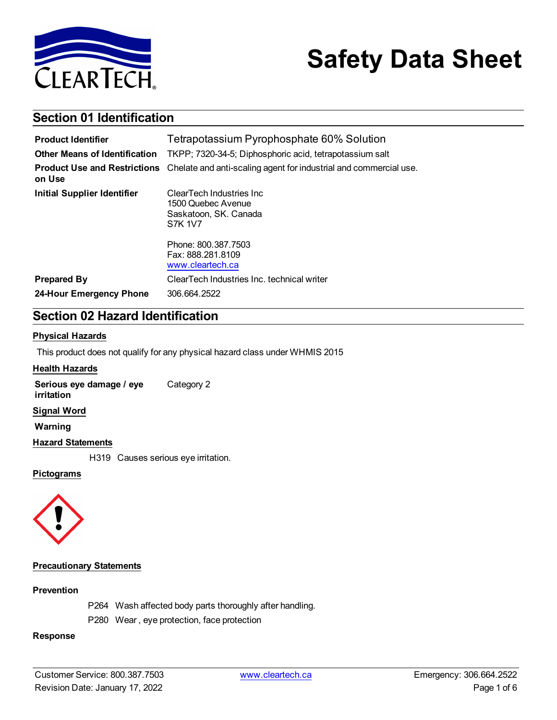

# **Safety Data Sheet**

### **Section 01 Identification**

| <b>Product Identifier</b>                     | Tetrapotassium Pyrophosphate 60% Solution                                                  |
|-----------------------------------------------|--------------------------------------------------------------------------------------------|
| <b>Other Means of Identification</b>          | TKPP; 7320-34-5; Diphosphoric acid, tetrapotassium salt                                    |
| <b>Product Use and Restrictions</b><br>on Use | Chelate and anti-scaling agent for industrial and commercial use.                          |
| <b>Initial Supplier Identifier</b>            | ClearTech Industries Inc.<br>1500 Quebec Avenue<br>Saskatoon, SK. Canada<br><b>S7K 1V7</b> |
|                                               | Phone: 800.387.7503<br>Fax: 888.281.8109<br>www.cleartech.ca                               |
| <b>Prepared By</b>                            | ClearTech Industries Inc. technical writer                                                 |
| 24-Hour Emergency Phone                       | 306.664.2522                                                                               |

### **Section 02 Hazard Identification**

#### **Physical Hazards**

This product does not qualify for any physical hazard class under WHMIS 2015

#### **Health Hazards**

**Serious eye damage / eye irritation** Category 2

#### **Signal Word**

**Warning**

#### **Hazard Statements**

H319 Causes serious eye irritation.

#### **Pictograms**



#### **Precautionary Statements**

#### **Prevention**

- P264 Wash affected body parts thoroughly after handling.
- P280 Wear , eye protection, face protection

#### **Response**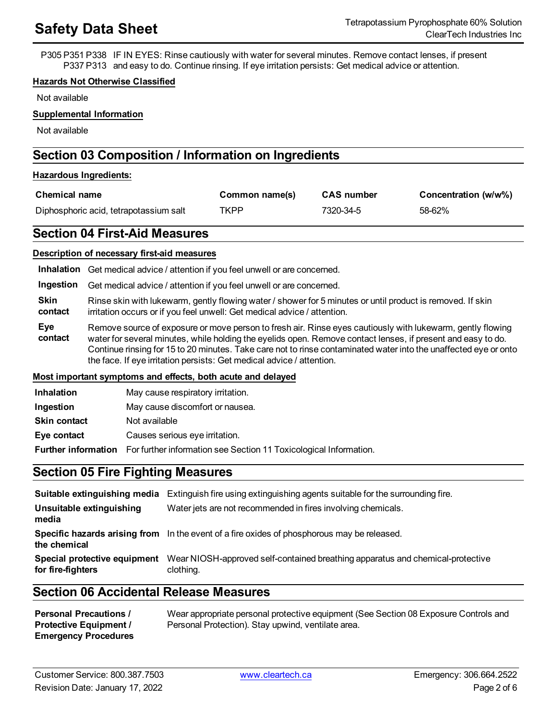P305 P351 P338 IF IN EYES: Rinse cautiously with water for several minutes. Remove contact lenses, if present P337 P313 and easy to do. Continue rinsing. If eye irritation persists: Get medical advice or attention.

#### **Hazards Not Otherwise Classified**

Not available

#### **Supplemental Information**

Not available

### **Section 03 Composition / Information on Ingredients**

#### **Hazardous Ingredients:**

| <b>Chemical name</b>                   | Common name(s) | <b>CAS</b> number | Concentration (w/w%) |
|----------------------------------------|----------------|-------------------|----------------------|
| Diphosphoric acid, tetrapotassium salt | TKPP           | 7320-34-5         | 58-62%               |

### **Section 04 First-Aid Measures**

#### **Description of necessary first-aid measures**

| Inhalation             | Get medical advice / attention if you feel unwell or are concerned.                                                                                                                                                                                                                                                                                                                                                     |
|------------------------|-------------------------------------------------------------------------------------------------------------------------------------------------------------------------------------------------------------------------------------------------------------------------------------------------------------------------------------------------------------------------------------------------------------------------|
| Ingestion              | Get medical advice / attention if you feel unwell or are concerned.                                                                                                                                                                                                                                                                                                                                                     |
| <b>Skin</b><br>contact | Rinse skin with lukewarm, gently flowing water / shower for 5 minutes or until product is removed. If skin<br>irritation occurs or if you feel unwell: Get medical advice / attention.                                                                                                                                                                                                                                  |
| Eye<br>contact         | Remove source of exposure or move person to fresh air. Rinse eyes cautiously with lukewarm, gently flowing<br>water for several minutes, while holding the eyelids open. Remove contact lenses, if present and easy to do.<br>Continue rinsing for 15 to 20 minutes. Take care not to rinse contaminated water into the unaffected eye or onto<br>the face. If eye irritation persists: Get medical advice / attention. |

#### **Most important symptoms and effects, both acute and delayed**

| <b>Inhalation</b>   | May cause respiratory irritation.                                                            |
|---------------------|----------------------------------------------------------------------------------------------|
| Ingestion           | May cause discomfort or nausea.                                                              |
| <b>Skin contact</b> | Not available                                                                                |
| Eye contact         | Causes serious eye irritation.                                                               |
|                     | <b>Further information</b> For further information see Section 11 Toxicological Information. |

### **Section 05 Fire Fighting Measures**

|                                                   | <b>Suitable extinguishing media</b> Extinguish fire using extinguishing agents suitable for the surrounding fire. |
|---------------------------------------------------|-------------------------------------------------------------------------------------------------------------------|
| Unsuitable extinguishing<br>media                 | Water jets are not recommended in fires involving chemicals.                                                      |
| the chemical                                      | Specific hazards arising from In the event of a fire oxides of phosphorous may be released.                       |
| Special protective equipment<br>for fire-fighters | Wear NIOSH-approved self-contained breathing apparatus and chemical-protective<br>clothing.                       |

### **Section 06 Accidental Release Measures**

| <b>Personal Precautions /</b> | Wear appropriate personal protective equipment (See Section 08 Exposure Controls and |
|-------------------------------|--------------------------------------------------------------------------------------|
| <b>Protective Equipment /</b> | Personal Protection). Stay upwind, ventilate area.                                   |
| <b>Emergency Procedures</b>   |                                                                                      |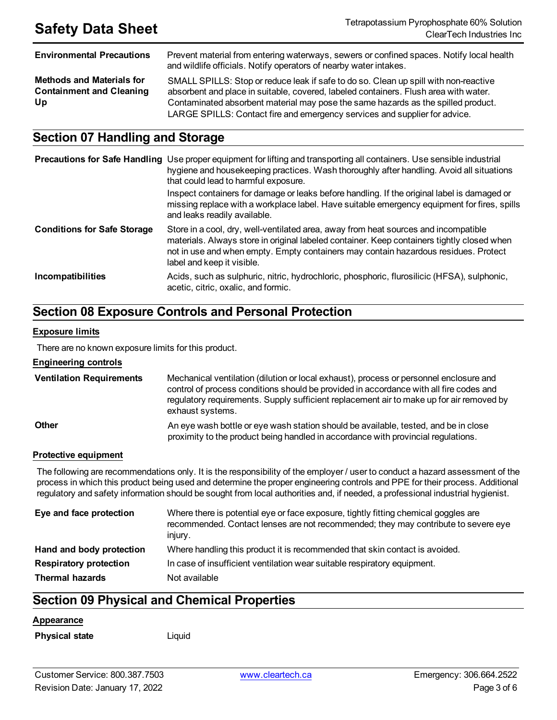| <b>Environmental Precautions</b>                                          | Prevent material from entering waterways, sewers or confined spaces. Notify local health<br>and wildlife officials. Notify operators of nearby water intakes.                                                                                                                                                                                   |
|---------------------------------------------------------------------------|-------------------------------------------------------------------------------------------------------------------------------------------------------------------------------------------------------------------------------------------------------------------------------------------------------------------------------------------------|
| <b>Methods and Materials for</b><br><b>Containment and Cleaning</b><br>Up | SMALL SPILLS: Stop or reduce leak if safe to do so. Clean up spill with non-reactive<br>absorbent and place in suitable, covered, labeled containers. Flush area with water.<br>Contaminated absorbent material may pose the same hazards as the spilled product.<br>LARGE SPILLS: Contact fire and emergency services and supplier for advice. |

### **Section 07 Handling and Storage**

|                                    | <b>Precautions for Safe Handling</b> Use proper equipment for lifting and transporting all containers. Use sensible industrial<br>hygiene and housekeeping practices. Wash thoroughly after handling. Avoid all situations<br>that could lead to harmful exposure.<br>Inspect containers for damage or leaks before handling. If the original label is damaged or<br>missing replace with a workplace label. Have suitable emergency equipment for fires, spills<br>and leaks readily available. |
|------------------------------------|--------------------------------------------------------------------------------------------------------------------------------------------------------------------------------------------------------------------------------------------------------------------------------------------------------------------------------------------------------------------------------------------------------------------------------------------------------------------------------------------------|
| <b>Conditions for Safe Storage</b> | Store in a cool, dry, well-ventilated area, away from heat sources and incompatible<br>materials. Always store in original labeled container. Keep containers tightly closed when<br>not in use and when empty. Empty containers may contain hazardous residues. Protect<br>label and keep it visible.                                                                                                                                                                                           |
| <b>Incompatibilities</b>           | Acids, such as sulphuric, nitric, hydrochloric, phosphoric, flurosilicic (HFSA), sulphonic,<br>acetic, citric, oxalic, and formic.                                                                                                                                                                                                                                                                                                                                                               |

## **Section 08 Exposure Controls and Personal Protection**

#### **Exposure limits**

There are no known exposure limits for this product.

#### **Engineering controls**

| <b>Ventilation Requirements</b> | Mechanical ventilation (dilution or local exhaust), process or personnel enclosure and<br>control of process conditions should be provided in accordance with all fire codes and<br>regulatory requirements. Supply sufficient replacement air to make up for air removed by<br>exhaust systems. |
|---------------------------------|--------------------------------------------------------------------------------------------------------------------------------------------------------------------------------------------------------------------------------------------------------------------------------------------------|
| <b>Other</b>                    | An eye wash bottle or eye wash station should be available, tested, and be in close<br>proximity to the product being handled in accordance with provincial regulations.                                                                                                                         |

#### **Protective equipment**

The following are recommendations only. It is the responsibility of the employer / user to conduct a hazard assessment of the process in which this product being used and determine the proper engineering controls and PPE for their process. Additional regulatory and safety information should be sought from local authorities and, if needed, a professional industrial hygienist.

| Eye and face protection       | Where there is potential eye or face exposure, tightly fitting chemical goggles are<br>recommended. Contact lenses are not recommended; they may contribute to severe eye<br>injury. |
|-------------------------------|--------------------------------------------------------------------------------------------------------------------------------------------------------------------------------------|
| Hand and body protection      | Where handling this product it is recommended that skin contact is avoided.                                                                                                          |
| <b>Respiratory protection</b> | In case of insufficient ventilation wear suitable respiratory equipment.                                                                                                             |
| <b>Thermal hazards</b>        | Not available                                                                                                                                                                        |

### **Section 09 Physical and Chemical Properties**

#### **Appearance**

**Physical state** Liquid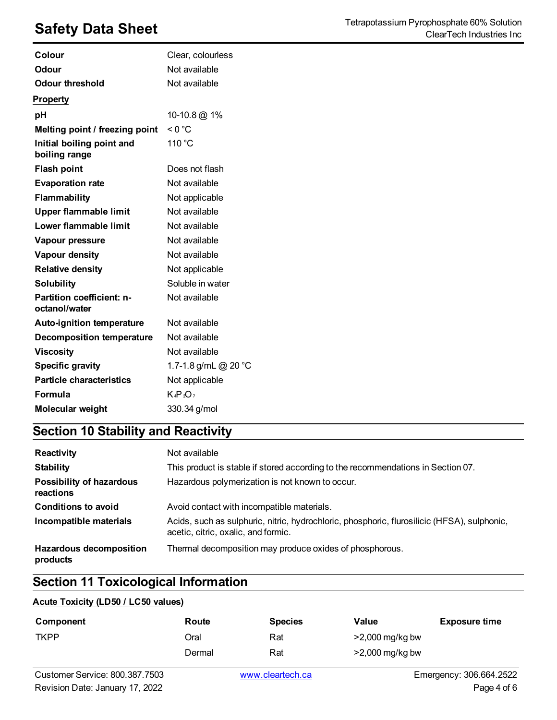| Colour                                     | Clear, colourless    |
|--------------------------------------------|----------------------|
| Odour                                      | Not available        |
| <b>Odour threshold</b>                     | Not available        |
| <b>Property</b>                            |                      |
| pH                                         | 10-10.8 @ 1%         |
| Melting point / freezing point             | < 0 °C               |
| Initial boiling point and<br>boiling range | 110 °C               |
| <b>Flash point</b>                         | Does not flash       |
| <b>Evaporation rate</b>                    | Not available        |
| <b>Flammability</b>                        | Not applicable       |
| Upper flammable limit                      | Not available        |
| Lower flammable limit                      | Not available        |
| Vapour pressure                            | Not available        |
| Vapour density                             | Not available        |
| <b>Relative density</b>                    | Not applicable       |
| <b>Solubility</b>                          | Soluble in water     |
| Partition coefficient: n-<br>octanol/water | Not available        |
| Auto-ignition temperature                  | Not available        |
| <b>Decomposition temperature</b>           | Not available        |
| <b>Viscosity</b>                           | Not available        |
| <b>Specific gravity</b>                    | 1.7-1.8 g/mL @ 20 °C |
| <b>Particle characteristics</b>            | Not applicable       |
| <b>Formula</b>                             | $K_4P_2O_7$          |
| Molecular weight                           | 330.34 g/mol         |

## **Section 10 Stability and Reactivity**

| Reactivity                                   | Not available                                                                                                                      |
|----------------------------------------------|------------------------------------------------------------------------------------------------------------------------------------|
| <b>Stability</b>                             | This product is stable if stored according to the recommendations in Section 07.                                                   |
| <b>Possibility of hazardous</b><br>reactions | Hazardous polymerization is not known to occur.                                                                                    |
| <b>Conditions to avoid</b>                   | Avoid contact with incompatible materials.                                                                                         |
| Incompatible materials                       | Acids, such as sulphuric, nitric, hydrochloric, phosphoric, flurosilicic (HFSA), sulphonic,<br>acetic, citric, oxalic, and formic. |
| <b>Hazardous decomposition</b><br>products   | Thermal decomposition may produce oxides of phosphorous.                                                                           |

### **Section 11 Toxicological Information**

#### **Acute Toxicity (LD50 / LC50 values)**

| Component   | Route  | <b>Species</b> | Value             | <b>Exposure time</b> |
|-------------|--------|----------------|-------------------|----------------------|
| <b>TKPP</b> | Oral   | Rat            | $>2,000$ mg/kg bw |                      |
|             | Dermal | Rat            | $>2,000$ mg/kg bw |                      |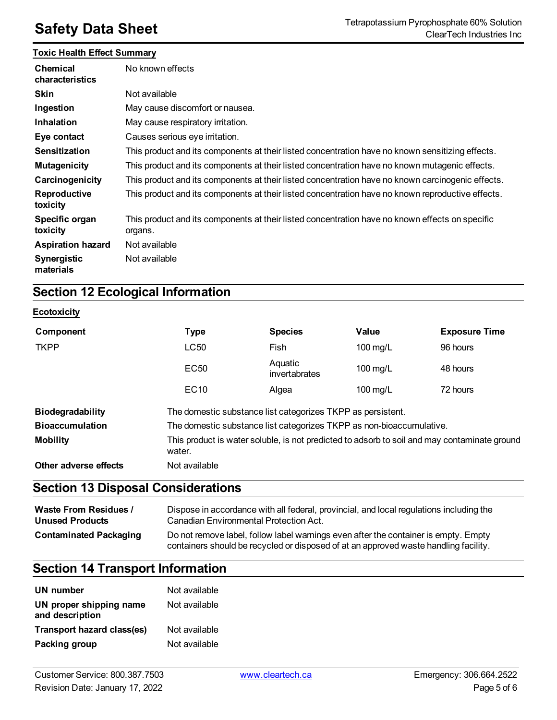#### **Toxic Health Effect Summary**

| Chemical<br>characteristics     | No known effects                                                                                           |
|---------------------------------|------------------------------------------------------------------------------------------------------------|
| <b>Skin</b>                     | Not available                                                                                              |
| Ingestion                       | May cause discomfort or nausea.                                                                            |
| <b>Inhalation</b>               | May cause respiratory irritation.                                                                          |
| Eye contact                     | Causes serious eye irritation.                                                                             |
| <b>Sensitization</b>            | This product and its components at their listed concentration have no known sensitizing effects.           |
| <b>Mutagenicity</b>             | This product and its components at their listed concentration have no known mutagenic effects.             |
| Carcinogenicity                 | This product and its components at their listed concentration have no known carcinogenic effects.          |
| Reproductive<br>toxicity        | This product and its components at their listed concentration have no known reproductive effects.          |
| Specific organ<br>toxicity      | This product and its components at their listed concentration have no known effects on specific<br>organs. |
| <b>Aspiration hazard</b>        | Not available                                                                                              |
| <b>Synergistic</b><br>materials | Not available                                                                                              |

## **Section 12 Ecological Information**

#### **Ecotoxicity**

| Component               | <b>Type</b>                                                                                            | <b>Species</b>           | Value              | <b>Exposure Time</b> |
|-------------------------|--------------------------------------------------------------------------------------------------------|--------------------------|--------------------|----------------------|
| <b>TKPP</b>             | <b>LC50</b>                                                                                            | Fish                     | 100 mg/L           | 96 hours             |
|                         | <b>EC50</b>                                                                                            | Aquatic<br>invertabrates | 100 mg/L           | 48 hours             |
|                         | EC <sub>10</sub>                                                                                       | Algea                    | $100 \text{ mg/L}$ | 72 hours             |
| <b>Biodegradability</b> | The domestic substance list categorizes TKPP as persistent.                                            |                          |                    |                      |
| <b>Bioaccumulation</b>  | The domestic substance list categorizes TKPP as non-bioaccumulative.                                   |                          |                    |                      |
| <b>Mobility</b>         | This product is water soluble, is not predicted to adsorb to soil and may contaminate ground<br>water. |                          |                    |                      |
| Other adverse effects   | Not available                                                                                          |                          |                    |                      |

## **Section 13 Disposal Considerations**

| <b>Waste From Residues /</b>  | Dispose in accordance with all federal, provincial, and local regulations including the                                                                                     |
|-------------------------------|-----------------------------------------------------------------------------------------------------------------------------------------------------------------------------|
| <b>Unused Products</b>        | Canadian Environmental Protection Act.                                                                                                                                      |
| <b>Contaminated Packaging</b> | Do not remove label, follow label warnings even after the container is empty. Empty<br>containers should be recycled or disposed of at an approved waste handling facility. |

## **Section 14 Transport Information**

| UN number                                  | Not available |
|--------------------------------------------|---------------|
| UN proper shipping name<br>and description | Not available |
| Transport hazard class(es)                 | Not available |
| Packing group                              | Not available |